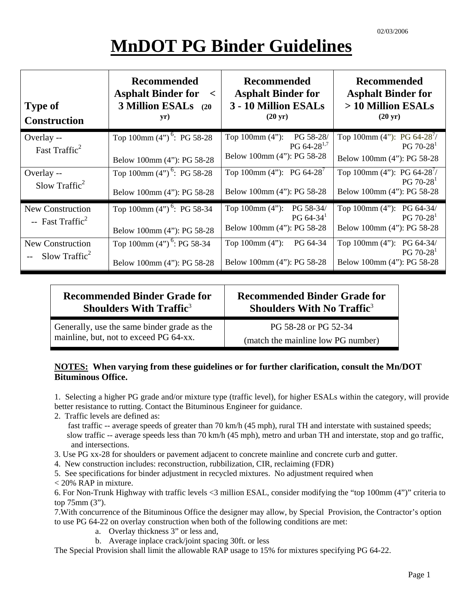# **MnDOT PG Binder Guidelines**

| <b>Type of</b><br><b>Construction</b>                   | <b>Recommended</b><br><b>Asphalt Binder for</b><br>$\prec$<br>3 Million ESALs (20<br>yr) | <b>Recommended</b><br><b>Asphalt Binder for</b><br>3 - 10 Million ESALs<br>$(20 \text{ yr})$ | <b>Recommended</b><br><b>Asphalt Binder for</b><br>> 10 Million ESALs<br>$(20 \text{ yr})$ |
|---------------------------------------------------------|------------------------------------------------------------------------------------------|----------------------------------------------------------------------------------------------|--------------------------------------------------------------------------------------------|
| Overlay --<br>Fast Traffic <sup>2</sup>                 | Top 100mm $(4")^6$ : PG 58-28<br>Below 100mm (4"): PG 58-28                              | PG 58-28/<br>Top $100 \text{mm} (4")$ :<br>PG $64-28^{1,7}$<br>Below 100mm (4"): PG 58-28    | Top 100mm (4"): PG 64-28 <sup>7</sup> /<br>$PG 70-281$<br>Below 100mm (4"): PG 58-28       |
| Overlay --<br>Slow Traffic <sup>2</sup>                 | Top 100mm $(4")^6$ : PG 58-28<br>Below 100mm (4"): PG 58-28                              | Top 100mm (4"): PG 64-28 <sup>7</sup><br>Below 100mm (4"): PG 58-28                          | Top 100mm (4"): PG 64-28 <sup>7</sup> /<br>$PG 70-281$<br>Below 100mm (4"): PG 58-28       |
| <b>New Construction</b><br>-- Fast Traffic <sup>2</sup> | Top 100mm $(4")^6$ : PG 58-34<br>Below 100mm (4"): PG 58-28                              | Top 100mm (4"): PG 58-34/<br>PG $64-34$ <sup>1</sup><br>Below 100mm (4"): PG 58-28           | Top 100mm (4"): PG 64-34/<br>$PG 70-281$<br>Below 100mm (4"): PG 58-28                     |
| New Construction<br>$-$ Slow Traffic <sup>2</sup>       | Top 100mm (4") <sup>6</sup> : PG 58-34<br>Below 100mm (4"): PG 58-28                     | Top $100 \text{mm} (4")$ :<br>PG 64-34<br>Below 100mm (4"): PG 58-28                         | Top 100mm $(4")$ : PG 64-34/<br>$PG 70-281$<br>Below 100mm (4"): PG 58-28                  |

| <b>Recommended Binder Grade for</b>         | <b>Recommended Binder Grade for</b>           |  |
|---------------------------------------------|-----------------------------------------------|--|
| <b>Shoulders With Traffic</b> <sup>3</sup>  | <b>Shoulders With No Traffic</b> <sup>3</sup> |  |
| Generally, use the same binder grade as the | PG 58-28 or PG 52-34                          |  |
| mainline, but, not to exceed PG 64-xx.      | (match the mainline low PG number)            |  |

#### **NOTES: When varying from these guidelines or for further clarification, consult the Mn/DOT Bituminous Office.**

1. Selecting a higher PG grade and/or mixture type (traffic level), for higher ESALs within the category, will provide better resistance to rutting. Contact the Bituminous Engineer for guidance.

- 2. Traffic levels are defined as:
	- fast traffic -- average speeds of greater than 70 km/h (45 mph), rural TH and interstate with sustained speeds; slow traffic -- average speeds less than 70 km/h (45 mph), metro and urban TH and interstate, stop and go traffic, and intersections.
- 3. Use PG xx-28 for shoulders or pavement adjacent to concrete mainline and concrete curb and gutter.
- 4. New construction includes: reconstruction, rubbilization, CIR, reclaiming (FDR)
- 5. See specifications for binder adjustment in recycled mixtures. No adjustment required when
- < 20% RAP in mixture.

6. For Non-Trunk Highway with traffic levels <3 million ESAL, consider modifying the "top 100mm (4")" criteria to top 75mm (3").

7.With concurrence of the Bituminous Office the designer may allow, by Special Provision, the Contractor's option to use PG 64-22 on overlay construction when both of the following conditions are met:

- a. Overlay thickness 3" or less and,
- b. Average inplace crack/joint spacing 30ft. or less

The Special Provision shall limit the allowable RAP usage to 15% for mixtures specifying PG 64-22.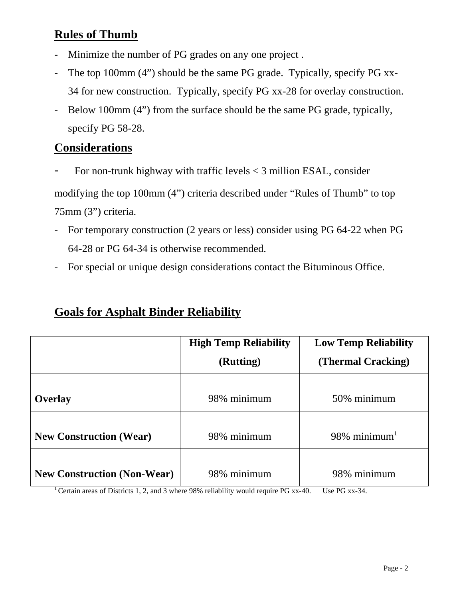### **Rules of Thumb**

- Minimize the number of PG grades on any one project .
- The top 100mm (4") should be the same PG grade. Typically, specify PG xx-34 for new construction. Typically, specify PG xx-28 for overlay construction.
- Below 100mm (4") from the surface should be the same PG grade, typically, specify PG 58-28.

#### **Considerations**

For non-trunk highway with traffic levels  $<$  3 million ESAL, consider

modifying the top 100mm (4") criteria described under "Rules of Thumb" to top 75mm (3") criteria.

- For temporary construction (2 years or less) consider using PG 64-22 when PG 64-28 or PG 64-34 is otherwise recommended.
- For special or unique design considerations contact the Bituminous Office.

#### **Goals for Asphalt Binder Reliability**

|                                    | <b>High Temp Reliability</b> | <b>Low Temp Reliability</b> |
|------------------------------------|------------------------------|-----------------------------|
|                                    | (Rutting)                    | (Thermal Cracking)          |
|                                    |                              |                             |
| <b>Overlay</b>                     | 98% minimum                  | 50% minimum                 |
|                                    |                              |                             |
| <b>New Construction (Wear)</b>     | 98% minimum                  | 98% minimum <sup>1</sup>    |
|                                    |                              |                             |
| <b>New Construction (Non-Wear)</b> | 98% minimum                  | 98% minimum                 |

<sup>1</sup> Certain areas of Districts 1, 2, and 3 where 98% reliability would require PG xx-40. Use PG xx-34.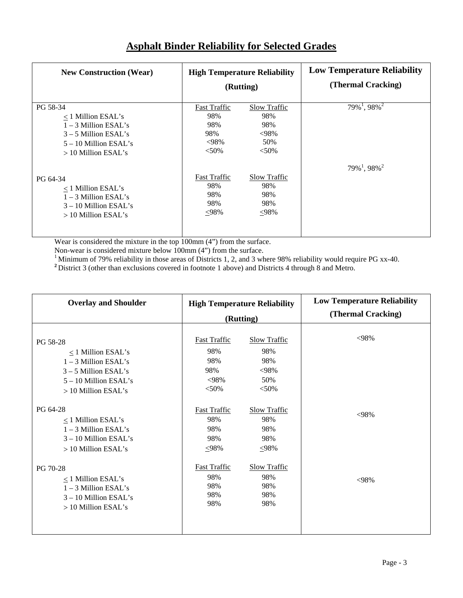| <b>New Construction (Wear)</b> | <b>High Temperature Reliability</b><br>(Rutting) |                     | <b>Low Temperature Reliability</b><br>(Thermal Cracking) |
|--------------------------------|--------------------------------------------------|---------------------|----------------------------------------------------------|
| PG 58-34                       | <b>Fast Traffic</b>                              | <b>Slow Traffic</b> | $79\%$ <sup>1</sup> , 98% <sup>2</sup>                   |
| $\langle$ 1 Million ESAL's     | 98%                                              | 98%                 |                                                          |
| $1 - 3$ Million ESAL's         | 98%                                              | 98%                 |                                                          |
| $3 - 5$ Million ESAL's         | 98%                                              | $<$ 98%             |                                                          |
| $5 - 10$ Million ESAL's        | $<$ 98%                                          | 50%                 |                                                          |
| $>10$ Million ESAL's           | $< 50\%$                                         | $< 50\%$            |                                                          |
| PG 64-34                       | <b>Fast Traffic</b>                              | <b>Slow Traffic</b> | $79\%^{1}$ , 98% <sup>2</sup>                            |
| $\langle$ 1 Million ESAL's     | 98%                                              | 98%                 |                                                          |
| $1 - 3$ Million ESAL's         | 98%                                              | 98%                 |                                                          |
| $3 - 10$ Million ESAL's        | 98%                                              | 98%                 |                                                          |
| $>10$ Million ESAL's           | $<$ 98%                                          | <98%                |                                                          |

#### **Asphalt Binder Reliability for Selected Grades**

Wear is considered the mixture in the top 100mm (4") from the surface.

Non-wear is considered mixture below 100mm (4") from the surface.

<sup>1</sup> Minimum of 79% reliability in those areas of Districts 1, 2, and 3 where 98% reliability would require PG xx-40.

**<sup>2</sup>**District 3 (other than exclusions covered in footnote 1 above) and Districts 4 through 8 and Metro.

| <b>Overlay and Shoulder</b> | <b>High Temperature Reliability</b><br>(Rutting) |                     | <b>Low Temperature Reliability</b><br>(Thermal Cracking) |
|-----------------------------|--------------------------------------------------|---------------------|----------------------------------------------------------|
| PG 58-28                    | <b>Fast Traffic</b>                              | <b>Slow Traffic</b> | $<98\%$                                                  |
| $\leq$ 1 Million ESAL's     | 98%                                              | 98%                 |                                                          |
| $1 - 3$ Million ESAL's      | 98%                                              | 98%                 |                                                          |
| $3 - 5$ Million ESAL's      | 98%                                              | $<$ 98%             |                                                          |
| $5 - 10$ Million ESAL's     | $<$ 98%                                          | 50%                 |                                                          |
| > 10 Million ESAL's         | $< 50\%$                                         | $< 50\%$            |                                                          |
| PG 64-28                    | <b>Fast Traffic</b>                              | <b>Slow Traffic</b> | $<98\%$                                                  |
| $\leq$ 1 Million ESAL's     | 98%                                              | 98%                 |                                                          |
| $1 - 3$ Million ESAL's      | 98%                                              | 98%                 |                                                          |
| $3 - 10$ Million ESAL's     | 98%                                              | 98%                 |                                                          |
| > 10 Million ESAL's         | $\leq 98\%$                                      | $\leq 98\%$         |                                                          |
| PG 70-28                    | <b>Fast Traffic</b>                              | <b>Slow Traffic</b> | $<98\%$                                                  |
| $\leq$ 1 Million ESAL's     | 98%                                              | 98%                 |                                                          |
| $1 - 3$ Million ESAL's      | 98%                                              | 98%                 |                                                          |
| $3 - 10$ Million ESAL's     | 98%                                              | 98%                 |                                                          |
| > 10 Million ESAL's         | 98%                                              | 98%                 |                                                          |